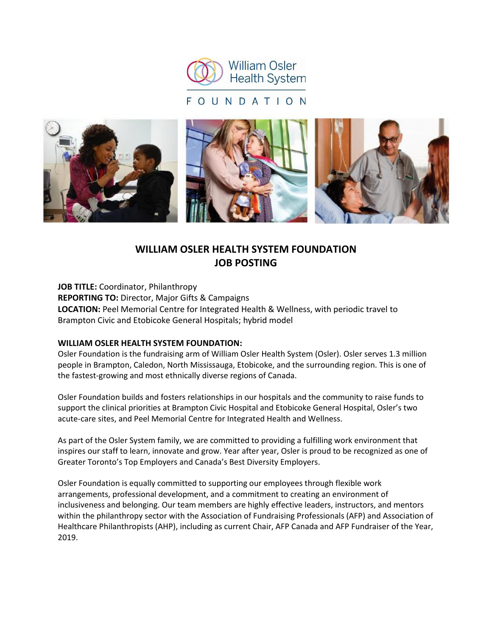

## FOUNDATION



# **WILLIAM OSLER HEALTH SYSTEM FOUNDATION JOB POSTING**

**JOB TITLE:** Coordinator, Philanthropy **REPORTING TO:** Director, Major Gifts & Campaigns **LOCATION:** Peel Memorial Centre for Integrated Health & Wellness, with periodic travel to Brampton Civic and Etobicoke General Hospitals; hybrid model

#### **WILLIAM OSLER HEALTH SYSTEM FOUNDATION:**

Osler Foundation is the fundraising arm of William Osler Health System (Osler). Osler serves 1.3 million people in Brampton, Caledon, North Mississauga, Etobicoke, and the surrounding region. This is one of the fastest-growing and most ethnically diverse regions of Canada.

Osler Foundation builds and fosters relationships in our hospitals and the community to raise funds to support the clinical priorities at Brampton Civic Hospital and Etobicoke General Hospital, Osler's two acute-care sites, and Peel Memorial Centre for Integrated Health and Wellness.

As part of the Osler System family, we are committed to providing a fulfilling work environment that inspires our staff to learn, innovate and grow. Year after year, Osler is proud to be recognized as one of Greater Toronto's Top Employers and Canada's Best Diversity Employers.

Osler Foundation is equally committed to supporting our employees through flexible work arrangements, professional development, and a commitment to creating an environment of inclusiveness and belonging. Our team members are highly effective leaders, instructors, and mentors within the philanthropy sector with the Association of Fundraising Professionals (AFP) and Association of Healthcare Philanthropists (AHP), including as current Chair, AFP Canada and AFP Fundraiser of the Year, 2019.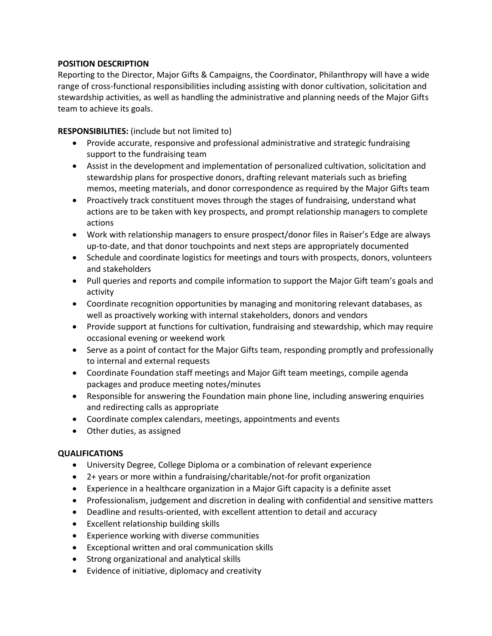## **POSITION DESCRIPTION**

Reporting to the Director, Major Gifts & Campaigns, the Coordinator, Philanthropy will have a wide range of cross-functional responsibilities including assisting with donor cultivation, solicitation and stewardship activities, as well as handling the administrative and planning needs of the Major Gifts team to achieve its goals.

**RESPONSIBILITIES:** (include but not limited to)

- Provide accurate, responsive and professional administrative and strategic fundraising support to the fundraising team
- Assist in the development and implementation of personalized cultivation, solicitation and stewardship plans for prospective donors, drafting relevant materials such as briefing memos, meeting materials, and donor correspondence as required by the Major Gifts team
- Proactively track constituent moves through the stages of fundraising, understand what actions are to be taken with key prospects, and prompt relationship managers to complete actions
- Work with relationship managers to ensure prospect/donor files in Raiser's Edge are always up-to-date, and that donor touchpoints and next steps are appropriately documented
- Schedule and coordinate logistics for meetings and tours with prospects, donors, volunteers and stakeholders
- Pull queries and reports and compile information to support the Major Gift team's goals and activity
- Coordinate recognition opportunities by managing and monitoring relevant databases, as well as proactively working with internal stakeholders, donors and vendors
- Provide support at functions for cultivation, fundraising and stewardship, which may require occasional evening or weekend work
- Serve as a point of contact for the Major Gifts team, responding promptly and professionally to internal and external requests
- Coordinate Foundation staff meetings and Major Gift team meetings, compile agenda packages and produce meeting notes/minutes
- Responsible for answering the Foundation main phone line, including answering enquiries and redirecting calls as appropriate
- Coordinate complex calendars, meetings, appointments and events
- Other duties, as assigned

### **QUALIFICATIONS**

- University Degree, College Diploma or a combination of relevant experience
- 2+ years or more within a fundraising/charitable/not-for profit organization
- Experience in a healthcare organization in a Major Gift capacity is a definite asset
- Professionalism, judgement and discretion in dealing with confidential and sensitive matters
- Deadline and results-oriented, with excellent attention to detail and accuracy
- Excellent relationship building skills
- Experience working with diverse communities
- Exceptional written and oral communication skills
- Strong organizational and analytical skills
- Evidence of initiative, diplomacy and creativity